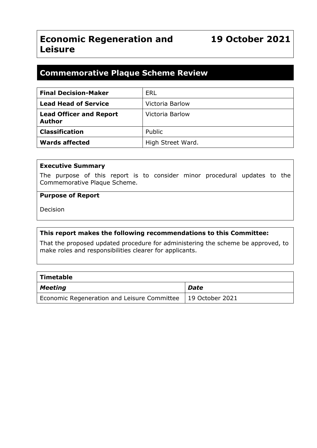# **Economic Regeneration and Leisure**

# **Commemorative Plaque Scheme Review**

| <b>Final Decision-Maker</b>                     | <b>ERL</b>        |
|-------------------------------------------------|-------------------|
| <b>Lead Head of Service</b>                     | Victoria Barlow   |
| <b>Lead Officer and Report</b><br><b>Author</b> | Victoria Barlow   |
| <b>Classification</b>                           | Public            |
| <b>Wards affected</b>                           | High Street Ward. |

#### **Executive Summary**

The purpose of this report is to consider minor procedural updates to the Commemorative Plaque Scheme.

#### **Purpose of Report**

Decision

#### **This report makes the following recommendations to this Committee:**

That the proposed updated procedure for administering the scheme be approved, to make roles and responsibilities clearer for applicants.

| $\mid$ Timetable                                              |             |
|---------------------------------------------------------------|-------------|
| Meeting                                                       | <b>Date</b> |
| Economic Regeneration and Leisure Committee   19 October 2021 |             |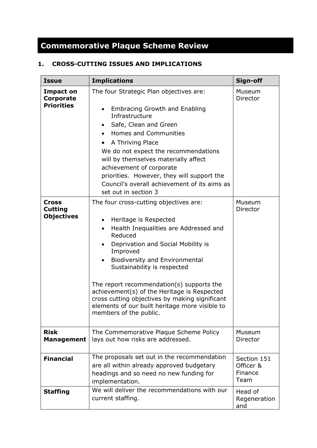# **Commemorative Plaque Scheme Review**

## **1. CROSS-CUTTING ISSUES AND IMPLICATIONS**

| <b>Issue</b>                                        | <b>Implications</b>                                                                                                                                                                                                                                                                                                                                                                                                                                                                                            | Sign-off                                    |
|-----------------------------------------------------|----------------------------------------------------------------------------------------------------------------------------------------------------------------------------------------------------------------------------------------------------------------------------------------------------------------------------------------------------------------------------------------------------------------------------------------------------------------------------------------------------------------|---------------------------------------------|
| <b>Impact on</b><br>Corporate<br><b>Priorities</b>  | The four Strategic Plan objectives are:<br><b>Embracing Growth and Enabling</b><br>Infrastructure<br>Safe, Clean and Green<br>$\bullet$<br>Homes and Communities<br>A Thriving Place<br>$\bullet$<br>We do not expect the recommendations<br>will by themselves materially affect<br>achievement of corporate<br>priorities. However, they will support the<br>Council's overall achievement of its aims as<br>set out in section 3                                                                            | Museum<br>Director                          |
| <b>Cross</b><br><b>Cutting</b><br><b>Objectives</b> | The four cross-cutting objectives are:<br>Heritage is Respected<br>$\bullet$<br>Health Inequalities are Addressed and<br>$\bullet$<br>Reduced<br>Deprivation and Social Mobility is<br>$\bullet$<br>Improved<br><b>Biodiversity and Environmental</b><br>Sustainability is respected<br>The report recommendation(s) supports the<br>achievement(s) of the Heritage is Respected<br>cross cutting objectives by making significant<br>elements of our built heritage more visible to<br>members of the public. | Museum<br>Director                          |
| <b>Risk</b><br><b>Management</b>                    | The Commemorative Plaque Scheme Policy<br>lays out how risks are addressed.                                                                                                                                                                                                                                                                                                                                                                                                                                    | Museum<br>Director                          |
| <b>Financial</b>                                    | The proposals set out in the recommendation<br>are all within already approved budgetary<br>headings and so need no new funding for<br>implementation.                                                                                                                                                                                                                                                                                                                                                         | Section 151<br>Officer &<br>Finance<br>Team |
| <b>Staffing</b>                                     | We will deliver the recommendations with our<br>current staffing.                                                                                                                                                                                                                                                                                                                                                                                                                                              | Head of<br>Regeneration<br>and              |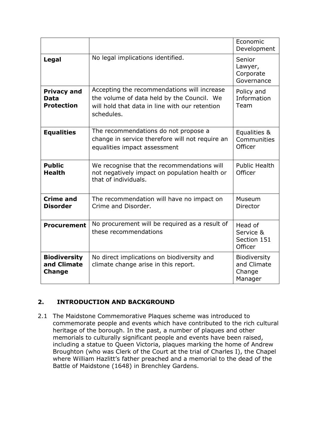|                                                        |                                                                                                                                                           | Economic<br>Development                                 |
|--------------------------------------------------------|-----------------------------------------------------------------------------------------------------------------------------------------------------------|---------------------------------------------------------|
| Legal                                                  | No legal implications identified.                                                                                                                         | Senior<br>Lawyer,<br>Corporate<br>Governance            |
| <b>Privacy and</b><br><b>Data</b><br><b>Protection</b> | Accepting the recommendations will increase<br>the volume of data held by the Council. We<br>will hold that data in line with our retention<br>schedules. | Policy and<br>Information<br>Team                       |
| <b>Equalities</b>                                      | The recommendations do not propose a<br>change in service therefore will not require an<br>equalities impact assessment                                   | Equalities &<br>Communities<br>Officer                  |
| <b>Public</b><br><b>Health</b>                         | We recognise that the recommendations will<br>not negatively impact on population health or<br>that of individuals.                                       | <b>Public Health</b><br>Officer                         |
| <b>Crime and</b><br><b>Disorder</b>                    | The recommendation will have no impact on<br>Crime and Disorder.                                                                                          | Museum<br>Director                                      |
| <b>Procurement</b>                                     | No procurement will be required as a result of<br>these recommendations                                                                                   | Head of<br>Service &<br>Section 151<br>Officer          |
| <b>Biodiversity</b><br>and Climate<br><b>Change</b>    | No direct implications on biodiversity and<br>climate change arise in this report.                                                                        | <b>Biodiversity</b><br>and Climate<br>Change<br>Manager |

# **2. INTRODUCTION AND BACKGROUND**

2.1 The Maidstone Commemorative Plaques scheme was introduced to commemorate people and events which have contributed to the rich cultural heritage of the borough. In the past, a number of plaques and other memorials to culturally significant people and events have been raised, including a statue to Queen Victoria, plaques marking the home of Andrew Broughton (who was Clerk of the Court at the trial of Charles I), the Chapel where William Hazlitt's father preached and a memorial to the dead of the Battle of Maidstone (1648) in Brenchley Gardens.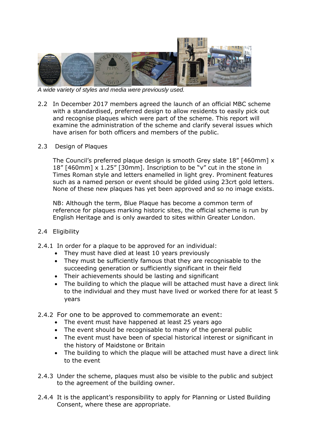

*A wide variety of styles and media were previously used.*

- 2.2 In December 2017 members agreed the launch of an official MBC scheme with a standardised, preferred design to allow residents to easily pick out and recognise plaques which were part of the scheme. This report will examine the administration of the scheme and clarify several issues which have arisen for both officers and members of the public.
- 2.3 Design of Plaques

The Council's preferred plaque design is smooth Grey slate 18" [460mm] x 18" [460mm] x 1.25" [30mm]. Inscription to be "v" cut in the stone in Times Roman style and letters enamelled in light grey. Prominent features such as a named person or event should be gilded using 23crt gold letters. None of these new plaques has yet been approved and so no image exists.

NB: Although the term, Blue Plaque has become a common term of reference for plaques marking historic sites, the official scheme is run by English Heritage and is only awarded to sites within Greater London.

#### 2.4 Eligibility

- 2.4.1 In order for a plaque to be approved for an individual:
	- They must have died at least 10 years previously
	- They must be sufficiently famous that they are recognisable to the succeeding generation or sufficiently significant in their field
	- Their achievements should be lasting and significant
	- The building to which the plaque will be attached must have a direct link to the individual and they must have lived or worked there for at least 5 years
- 2.4.2 For one to be approved to commemorate an event:
	- The event must have happened at least 25 years ago
	- The event should be recognisable to many of the general public
	- The event must have been of special historical interest or significant in the history of Maidstone or Britain
	- The building to which the plaque will be attached must have a direct link to the event
- 2.4.3 Under the scheme, plaques must also be visible to the public and subject to the agreement of the building owner.
- 2.4.4 It is the applicant's responsibility to apply for Planning or Listed Building Consent, where these are appropriate.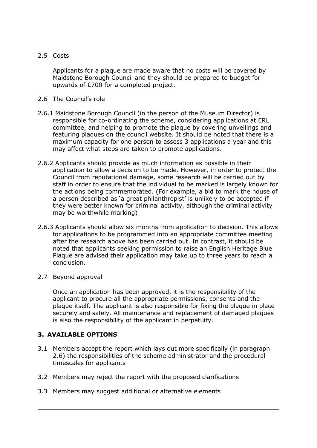#### 2.5 Costs

Applicants for a plaque are made aware that no costs will be covered by Maidstone Borough Council and they should be prepared to budget for upwards of £700 for a completed project.

#### 2.6 The Council's role

- 2.6.1 Maidstone Borough Council (in the person of the Museum Director) is responsible for co-ordinating the scheme, considering applications at ERL committee, and helping to promote the plaque by covering unveilings and featuring plaques on the council website. It should be noted that there is a maximum capacity for one person to assess 3 applications a year and this may affect what steps are taken to promote applications.
- 2.6.2 Applicants should provide as much information as possible in their application to allow a decision to be made. However, in order to protect the Council from reputational damage, some research will be carried out by staff in order to ensure that the individual to be marked is largely known for the actions being commemorated. (For example, a bid to mark the house of a person described as 'a great philanthropist' is unlikely to be accepted if they were better known for criminal activity, although the criminal activity may be worthwhile marking)
- 2.6.3 Applicants should allow six months from application to decision. This allows for applications to be programmed into an appropriate committee meeting after the research above has been carried out. In contrast, it should be noted that applicants seeking permission to raise an English Heritage Blue Plaque are advised their application may take up to three years to reach a conclusion.
- 2.7 Beyond approval

Once an application has been approved, it is the responsibility of the applicant to procure all the appropriate permissions, consents and the plaque itself. The applicant is also responsible for fixing the plaque in place securely and safely. All maintenance and replacement of damaged plaques is also the responsibility of the applicant in perpetuity.

## **3. AVAILABLE OPTIONS**

- 3.1 Members accept the report which lays out more specifically (in paragraph 2.6) the responsibilities of the scheme administrator and the procedural timescales for applicants
- 3.2 Members may reject the report with the proposed clarifications
- 3.3 Members may suggest additional or alternative elements